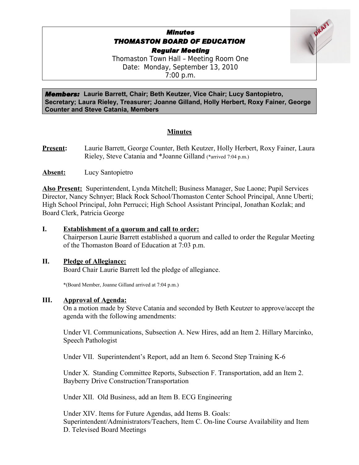# *Minutes THOMASTON BOARD OF EDUCATION Regular Meeting*

Thomaston Town Hall – Meeting Room One Date: Monday, September 13, 2010 7:00 p.m.

*Members:* **Laurie Barrett, Chair; Beth Keutzer, Vice Chair; Lucy Santopietro, Secretary; Laura Rieley, Treasurer; Joanne Gilland, Holly Herbert, Roxy Fainer, George Counter and Steve Catania, Members**

# **Minutes**

**Present:** Laurie Barrett, George Counter, Beth Keutzer, Holly Herbert, Roxy Fainer, Laura Rieley, Steve Catania and \*Joanne Gilland (\*arrived 7:04 p.m.)

**Absent:** Lucy Santopietro

**Also Present:** Superintendent, Lynda Mitchell; Business Manager, Sue Laone; Pupil Services Director, Nancy Schnyer; Black Rock School/Thomaston Center School Principal, Anne Uberti; High School Principal, John Perrucci; High School Assistant Principal, Jonathan Kozlak; and Board Clerk, Patricia George

#### **I. Establishment of a quorum and call to order:**

Chairperson Laurie Barrett established a quorum and called to order the Regular Meeting of the Thomaston Board of Education at 7:03 p.m.

#### **II. Pledge of Allegiance:**

Board Chair Laurie Barrett led the pledge of allegiance.

\*(Board Member, Joanne Gilland arrived at 7:04 p.m.)

#### **III. Approval of Agenda:**

On a motion made by Steve Catania and seconded by Beth Keutzer to approve/accept the agenda with the following amendments:

Under VI. Communications, Subsection A. New Hires, add an Item 2. Hillary Marcinko, Speech Pathologist

Under VII. Superintendent's Report, add an Item 6. Second Step Training K-6

Under X. Standing Committee Reports, Subsection F. Transportation, add an Item 2. Bayberry Drive Construction/Transportation

Under XII. Old Business, add an Item B. ECG Engineering

Under XIV. Items for Future Agendas, add Items B. Goals: Superintendent/Administrators/Teachers, Item C. On-line Course Availability and Item D. Televised Board Meetings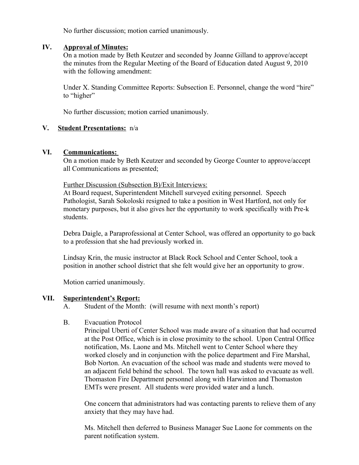No further discussion; motion carried unanimously.

#### **IV. Approval of Minutes:**

On a motion made by Beth Keutzer and seconded by Joanne Gilland to approve/accept the minutes from the Regular Meeting of the Board of Education dated August 9, 2010 with the following amendment:

Under X. Standing Committee Reports: Subsection E. Personnel, change the word "hire" to "higher"

No further discussion; motion carried unanimously.

#### **V. Student Presentations:** n/a

#### **VI. Communications:**

On a motion made by Beth Keutzer and seconded by George Counter to approve/accept all Communications as presented;

Further Discussion (Subsection B)/Exit Interviews:

At Board request, Superintendent Mitchell surveyed exiting personnel. Speech Pathologist, Sarah Sokoloski resigned to take a position in West Hartford, not only for monetary purposes, but it also gives her the opportunity to work specifically with Pre-k students.

Debra Daigle, a Paraprofessional at Center School, was offered an opportunity to go back to a profession that she had previously worked in.

Lindsay Krin, the music instructor at Black Rock School and Center School, took a position in another school district that she felt would give her an opportunity to grow.

Motion carried unanimously.

#### **VII. Superintendent's Report:**

A. Student of the Month: (will resume with next month's report)

#### B. Evacuation Protocol

Principal Uberti of Center School was made aware of a situation that had occurred at the Post Office, which is in close proximity to the school. Upon Central Office notification, Ms. Laone and Ms. Mitchell went to Center School where they worked closely and in conjunction with the police department and Fire Marshal, Bob Norton. An evacuation of the school was made and students were moved to an adjacent field behind the school. The town hall was asked to evacuate as well. Thomaston Fire Department personnel along with Harwinton and Thomaston EMTs were present. All students were provided water and a lunch.

One concern that administrators had was contacting parents to relieve them of any anxiety that they may have had.

Ms. Mitchell then deferred to Business Manager Sue Laone for comments on the parent notification system.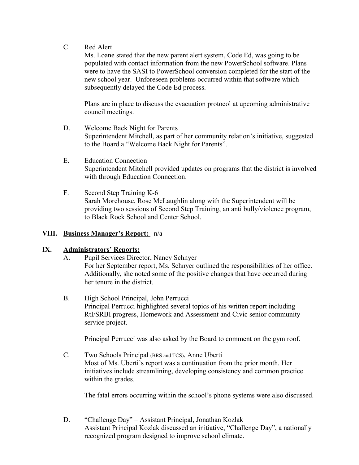C. Red Alert

Ms. Loane stated that the new parent alert system, Code Ed, was going to be populated with contact information from the new PowerSchool software. Plans were to have the SASI to PowerSchool conversion completed for the start of the new school year. Unforeseen problems occurred within that software which subsequently delayed the Code Ed process.

Plans are in place to discuss the evacuation protocol at upcoming administrative council meetings.

- D. Welcome Back Night for Parents Superintendent Mitchell, as part of her community relation's initiative, suggested to the Board a "Welcome Back Night for Parents".
- E. Education Connection Superintendent Mitchell provided updates on programs that the district is involved with through Education Connection.
- F. Second Step Training K-6 Sarah Morehouse, Rose McLaughlin along with the Superintendent will be providing two sessions of Second Step Training, an anti bully/violence program, to Black Rock School and Center School.

# **VIII. Business Manager's Report:** n/a

# **IX. Administrators' Reports:**

- A. Pupil Services Director, Nancy Schnyer For her September report, Ms. Schnyer outlined the responsibilities of her office. Additionally, she noted some of the positive changes that have occurred during her tenure in the district.
- B. High School Principal, John Perrucci Principal Perrucci highlighted several topics of his written report including RtI/SRBI progress, Homework and Assessment and Civic senior community service project.

Principal Perrucci was also asked by the Board to comment on the gym roof.

C. Two Schools Principal (BRS and TCS), Anne Uberti Most of Ms. Uberti's report was a continuation from the prior month. Her initiatives include streamlining, developing consistency and common practice within the grades.

The fatal errors occurring within the school's phone systems were also discussed.

D. "Challenge Day" – Assistant Principal, Jonathan Kozlak Assistant Principal Kozlak discussed an initiative, "Challenge Day", a nationally recognized program designed to improve school climate.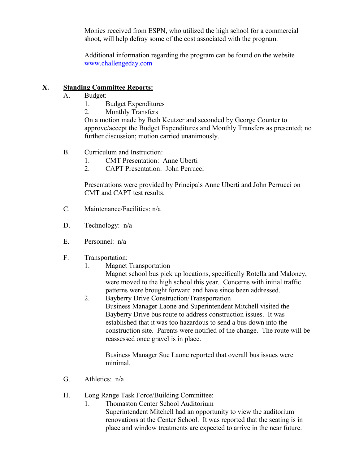Monies received from ESPN, who utilized the high school for a commercial shoot, will help defray some of the cost associated with the program.

Additional information regarding the program can be found on the website [www.challengeday.com](http://www.challengeday.com/)

# **X. Standing Committee Reports:**

- A. Budget:
	- 1. Budget Expenditures
	- 2. Monthly Transfers

On a motion made by Beth Keutzer and seconded by George Counter to approve/accept the Budget Expenditures and Monthly Transfers as presented; no further discussion; motion carried unanimously.

- B. Curriculum and Instruction:
	- 1. CMT Presentation: Anne Uberti
	- 2. CAPT Presentation: John Perrucci

Presentations were provided by Principals Anne Uberti and John Perrucci on CMT and CAPT test results.

- C. Maintenance/Facilities: n/a
- D. Technology: n/a
- E. Personnel: n/a
- F. Transportation:
	- 1. Magnet Transportation Magnet school bus pick up locations, specifically Rotella and Maloney, were moved to the high school this year. Concerns with initial traffic patterns were brought forward and have since been addressed.
	- 2. Bayberry Drive Construction/Transportation Business Manager Laone and Superintendent Mitchell visited the Bayberry Drive bus route to address construction issues. It was established that it was too hazardous to send a bus down into the construction site. Parents were notified of the change. The route will be reassessed once gravel is in place.

Business Manager Sue Laone reported that overall bus issues were minimal.

- G. Athletics: n/a
- H. Long Range Task Force/Building Committee:
	- 1. Thomaston Center School Auditorium Superintendent Mitchell had an opportunity to view the auditorium renovations at the Center School. It was reported that the seating is in place and window treatments are expected to arrive in the near future.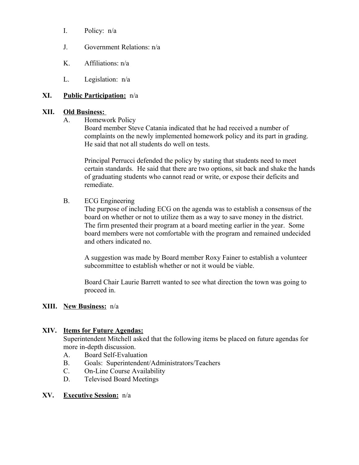- I. Policy: n/a
- J. Government Relations: n/a
- K. Affiliations: n/a
- L. Legislation: n/a

# **XI. Public Participation:** n/a

#### **XII. Old Business:**

A. Homework Policy

Board member Steve Catania indicated that he had received a number of complaints on the newly implemented homework policy and its part in grading. He said that not all students do well on tests.

Principal Perrucci defended the policy by stating that students need to meet certain standards. He said that there are two options, sit back and shake the hands of graduating students who cannot read or write, or expose their deficits and remediate.

B. ECG Engineering

The purpose of including ECG on the agenda was to establish a consensus of the board on whether or not to utilize them as a way to save money in the district. The firm presented their program at a board meeting earlier in the year. Some board members were not comfortable with the program and remained undecided and others indicated no.

A suggestion was made by Board member Roxy Fainer to establish a volunteer subcommittee to establish whether or not it would be viable.

Board Chair Laurie Barrett wanted to see what direction the town was going to proceed in.

# **XIII. New Business:** n/a

# **XIV. Items for Future Agendas:**

Superintendent Mitchell asked that the following items be placed on future agendas for more in-depth discussion.

- A. Board Self-Evaluation
- B. Goals: Superintendent/Administrators/Teachers
- C. On-Line Course Availability
- D. Televised Board Meetings

# **XV. Executive Session:** n/a